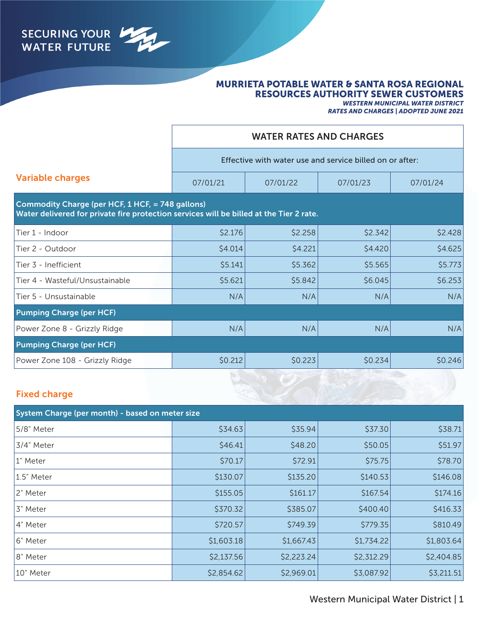

## MURRIETA POTABLE WATER & SANTA ROSA REGIONAL RESOURCES AUTHORITY SEWER CUSTOMERS

*WESTERN MUNICIPAL WATER DISTRICT*

*RATES AND CHARGES | ADOPTED JUNE 2021*

|                                                                                                                                             |          | <b>WATER RATES AND CHARGES</b>                           |         |          |  |
|---------------------------------------------------------------------------------------------------------------------------------------------|----------|----------------------------------------------------------|---------|----------|--|
|                                                                                                                                             |          | Effective with water use and service billed on or after: |         |          |  |
| <b>Variable charges</b>                                                                                                                     | 07/01/21 | 07/01/22                                                 |         | 07/01/24 |  |
| Commodity Charge (per HCF, 1 HCF, = 748 gallons)<br>Water delivered for private fire protection services will be billed at the Tier 2 rate. |          |                                                          |         |          |  |
| Tier 1 - Indoor                                                                                                                             | \$2.176  | \$2.258                                                  | \$2.342 | \$2.428  |  |
| Tier 2 - Outdoor                                                                                                                            | \$4.014  | \$4.221                                                  | \$4.420 | \$4.625  |  |
| Tier 3 - Inefficient                                                                                                                        | \$5.141  | \$5.362                                                  | \$5.565 | \$5.773  |  |
| Tier 4 - Wasteful/Unsustainable                                                                                                             | \$5.621  | \$5.842                                                  | \$6.045 | \$6.253  |  |
| Tier 5 - Unsustainable                                                                                                                      | N/A      | N/A                                                      | N/A     | N/A      |  |
| <b>Pumping Charge (per HCF)</b>                                                                                                             |          |                                                          |         |          |  |
| Power Zone 8 - Grizzly Ridge                                                                                                                | N/A      | N/A                                                      | N/A     | N/A      |  |
| <b>Pumping Charge (per HCF)</b>                                                                                                             |          |                                                          |         |          |  |
| Power Zone 108 - Grizzly Ridge                                                                                                              | \$0.212  | \$0.223                                                  | \$0.234 | \$0.246  |  |
|                                                                                                                                             |          |                                                          |         |          |  |

# Fixed charge

| System Charge (per month) - based on meter size |            |            |            |            |  |
|-------------------------------------------------|------------|------------|------------|------------|--|
| 5/8" Meter                                      | \$34.63    | \$35.94    | \$37.30    | \$38.71    |  |
| 3/4" Meter                                      | \$46.41    | \$48.20    | \$50.05    | \$51.97    |  |
| 1" Meter                                        | \$70.17    | \$72.91    | \$75.75    | \$78.70    |  |
| 1.5" Meter                                      | \$130.07   | \$135.20   | \$140.53   | \$146.08   |  |
| 2" Meter                                        | \$155.05   | \$161.17   | \$167.54   | \$174.16   |  |
| 3" Meter                                        | \$370.32   | \$385.07   | \$400.40   | \$416.33   |  |
| 4" Meter                                        | \$720.57   | \$749.39   | \$779.35   | \$810.49   |  |
| 6" Meter                                        | \$1,603.18 | \$1,667.43 | \$1,734.22 | \$1,803.64 |  |
| 8" Meter                                        | \$2,137.56 | \$2,223.24 | \$2,312.29 | \$2,404.85 |  |
| 10" Meter                                       | \$2,854.62 | \$2,969.01 | \$3,087.92 | \$3,211.51 |  |

## Western Municipal Water District | 1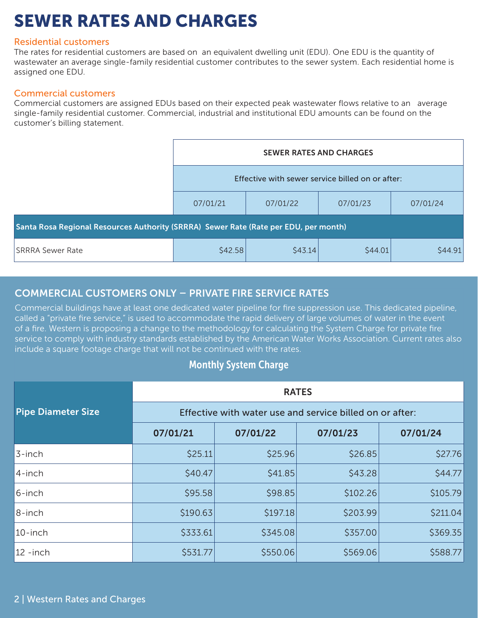# SEWER RATES AND CHARGES

## Residential customers

The rates for residential customers are based on an equivalent dwelling unit (EDU). One EDU is the quantity of wastewater an average single-family residential customer contributes to the sewer system. Each residential home is assigned one EDU.

## Commercial customers

Commercial customers are assigned EDUs based on their expected peak wastewater flows relative to an average single-family residential customer. Commercial, industrial and institutional EDU amounts can be found on the customer's billing statement.

|                                                                                      | <b>SEWER RATES AND CHARGES</b><br>Effective with sewer service billed on or after: |          |          |          |
|--------------------------------------------------------------------------------------|------------------------------------------------------------------------------------|----------|----------|----------|
|                                                                                      |                                                                                    |          |          |          |
|                                                                                      | 07/01/21                                                                           | 07/01/22 | 07/01/23 | 07/01/24 |
| Santa Rosa Regional Resources Authority (SRRRA) Sewer Rate (Rate per EDU, per month) |                                                                                    |          |          |          |
| <b>SRRRA Sewer Rate</b>                                                              | \$42.58                                                                            | \$43.14  | \$44.01  | \$44.91  |

# COMMERCIAL CUSTOMERS ONLY – PRIVATE FIRE SERVICE RATES

Commercial buildings have at least one dedicated water pipeline for fire suppression use. This dedicated pipeline, called a "private fire service," is used to accommodate the rapid delivery of large volumes of water in the event of a fire. Western is proposing a change to the methodology for calculating the System Charge for private fire service to comply with industry standards established by the American Water Works Association. Current rates also include a square footage charge that will not be continued with the rates.

# Monthly System Charge

|                           | <b>RATES</b>                                             |          |          |          |  |
|---------------------------|----------------------------------------------------------|----------|----------|----------|--|
| <b>Pipe Diameter Size</b> | Effective with water use and service billed on or after: |          |          |          |  |
|                           | 07/01/21                                                 | 07/01/22 | 07/01/23 | 07/01/24 |  |
| 3-inch                    | \$25.11                                                  | \$25.96  | \$26.85  | \$27.76  |  |
| 4-inch                    | \$40.47                                                  | \$41.85  | \$43.28  | \$44.77  |  |
| 6-inch                    | \$95.58                                                  | \$98.85  | \$102.26 | \$105.79 |  |
| 8-inch                    | \$190.63                                                 | \$197.18 | \$203.99 | \$211.04 |  |
| $10$ -inch                | \$333.61                                                 | \$345.08 | \$357.00 | \$369.35 |  |
| $12 - inch$               | \$531.77                                                 | \$550.06 | \$569.06 | \$588.77 |  |